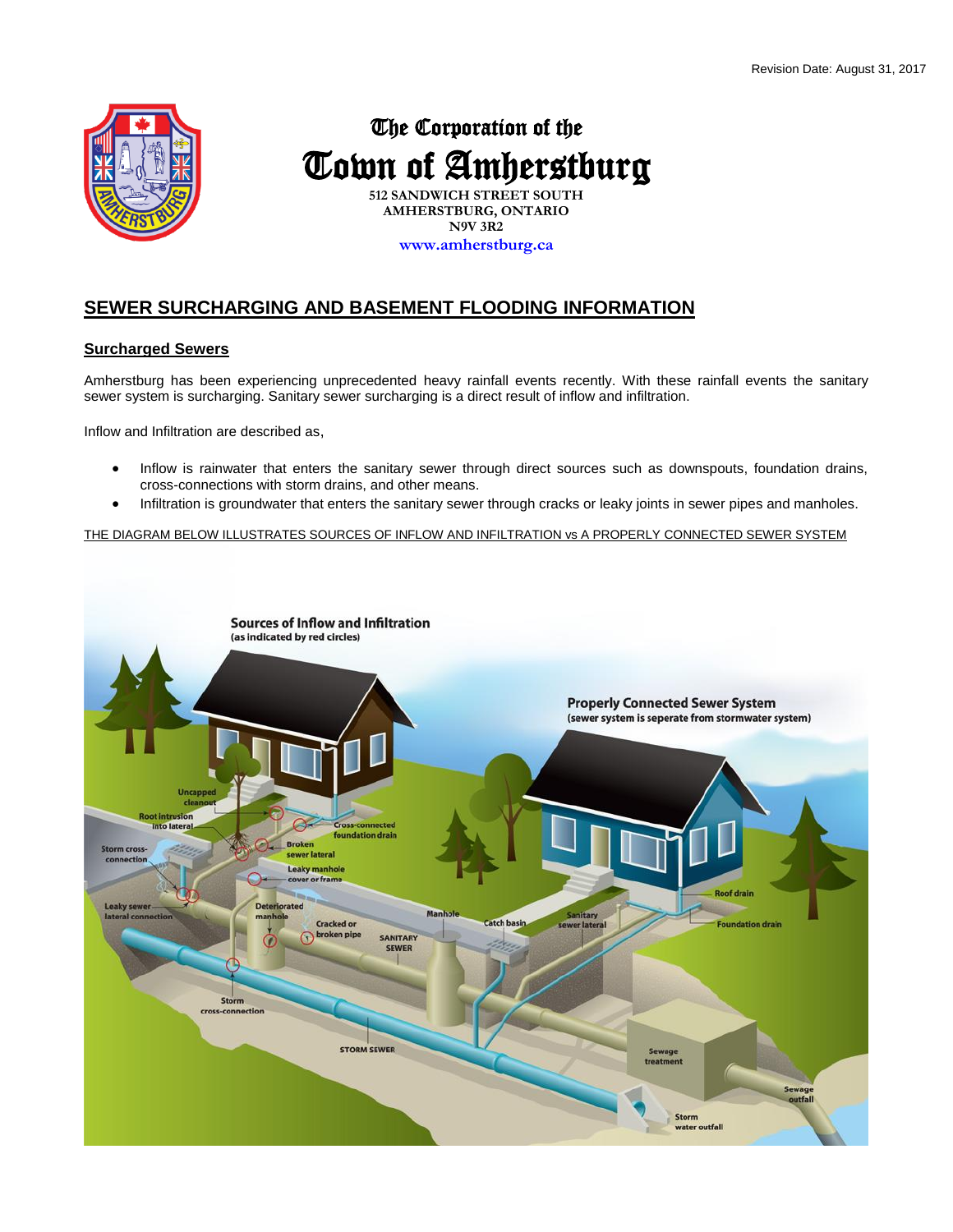

# The Corporation of the Town of Amherstburg

**512 SANDWICH STREET SOUTH AMHERSTBURG, ONTARIO N9V 3R2 www.amherstburg.ca**

# **SEWER SURCHARGING AND BASEMENT FLOODING INFORMATION**

# **Surcharged Sewers**

Amherstburg has been experiencing unprecedented heavy rainfall events recently. With these rainfall events the sanitary sewer system is surcharging. Sanitary sewer surcharging is a direct result of inflow and infiltration.

Inflow and Infiltration are described as,

- Inflow is rainwater that enters the sanitary sewer through direct sources such as downspouts, foundation drains, cross-connections with storm drains, and other means.
- Infiltration is groundwater that enters the sanitary sewer through cracks or leaky joints in sewer pipes and manholes.

THE DIAGRAM BELOW ILLUSTRATES SOURCES OF INFLOW AND INFILTRATION vs A PROPERLY CONNECTED SEWER SYSTEM

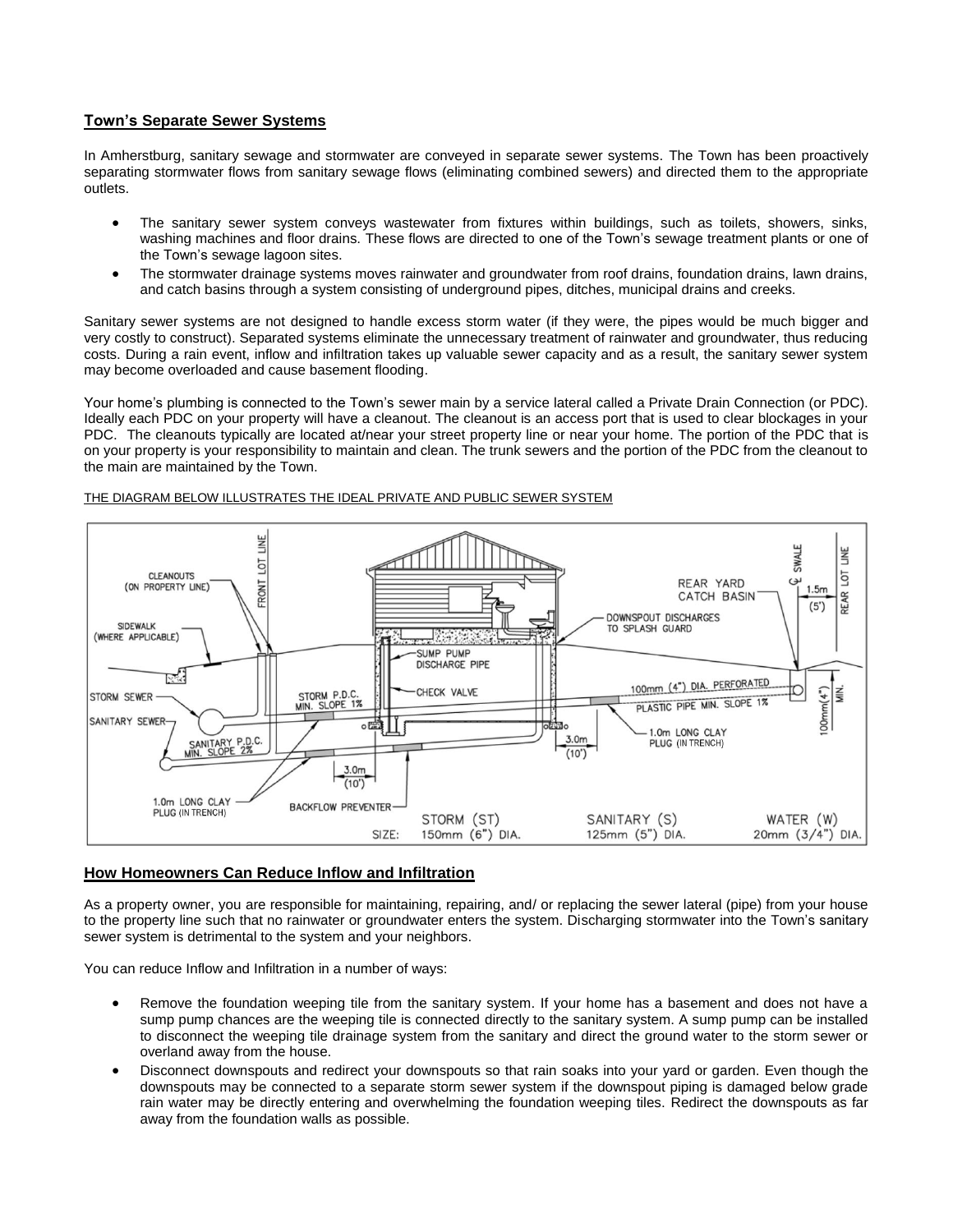# **Town's Separate Sewer Systems**

In Amherstburg, sanitary sewage and stormwater are conveyed in separate sewer systems. The Town has been proactively separating stormwater flows from sanitary sewage flows (eliminating combined sewers) and directed them to the appropriate outlets.

- The sanitary sewer system conveys wastewater from fixtures within buildings, such as toilets, showers, sinks, washing machines and floor drains. These flows are directed to one of the Town's sewage treatment plants or one of the Town's sewage lagoon sites.
- The stormwater drainage systems moves rainwater and groundwater from roof drains, foundation drains, lawn drains, and catch basins through a system consisting of underground pipes, ditches, municipal drains and creeks.

Sanitary sewer systems are not designed to handle excess storm water (if they were, the pipes would be much bigger and very costly to construct). Separated systems eliminate the unnecessary treatment of rainwater and groundwater, thus reducing costs. During a rain event, inflow and infiltration takes up valuable sewer capacity and as a result, the sanitary sewer system may become overloaded and cause basement flooding.

Your home's plumbing is connected to the Town's sewer main by a service lateral called a Private Drain Connection (or PDC). Ideally each PDC on your property will have a cleanout. The cleanout is an access port that is used to clear blockages in your PDC. The cleanouts typically are located at/near your street property line or near your home. The portion of the PDC that is on your property is your responsibility to maintain and clean. The trunk sewers and the portion of the PDC from the cleanout to the main are maintained by the Town.



#### THE DIAGRAM BELOW ILLUSTRATES THE IDEAL PRIVATE AND PUBLIC SEWER SYSTEM

#### **How Homeowners Can Reduce Inflow and Infiltration**

As a property owner, you are responsible for maintaining, repairing, and/ or replacing the sewer lateral (pipe) from your house to the property line such that no rainwater or groundwater enters the system. Discharging stormwater into the Town's sanitary sewer system is detrimental to the system and your neighbors.

You can reduce Inflow and Infiltration in a number of ways:

- Remove the foundation weeping tile from the sanitary system. If your home has a basement and does not have a sump pump chances are the weeping tile is connected directly to the sanitary system. A sump pump can be installed to disconnect the weeping tile drainage system from the sanitary and direct the ground water to the storm sewer or overland away from the house.
- Disconnect downspouts and redirect your downspouts so that rain soaks into your yard or garden. Even though the downspouts may be connected to a separate storm sewer system if the downspout piping is damaged below grade rain water may be directly entering and overwhelming the foundation weeping tiles. Redirect the downspouts as far away from the foundation walls as possible.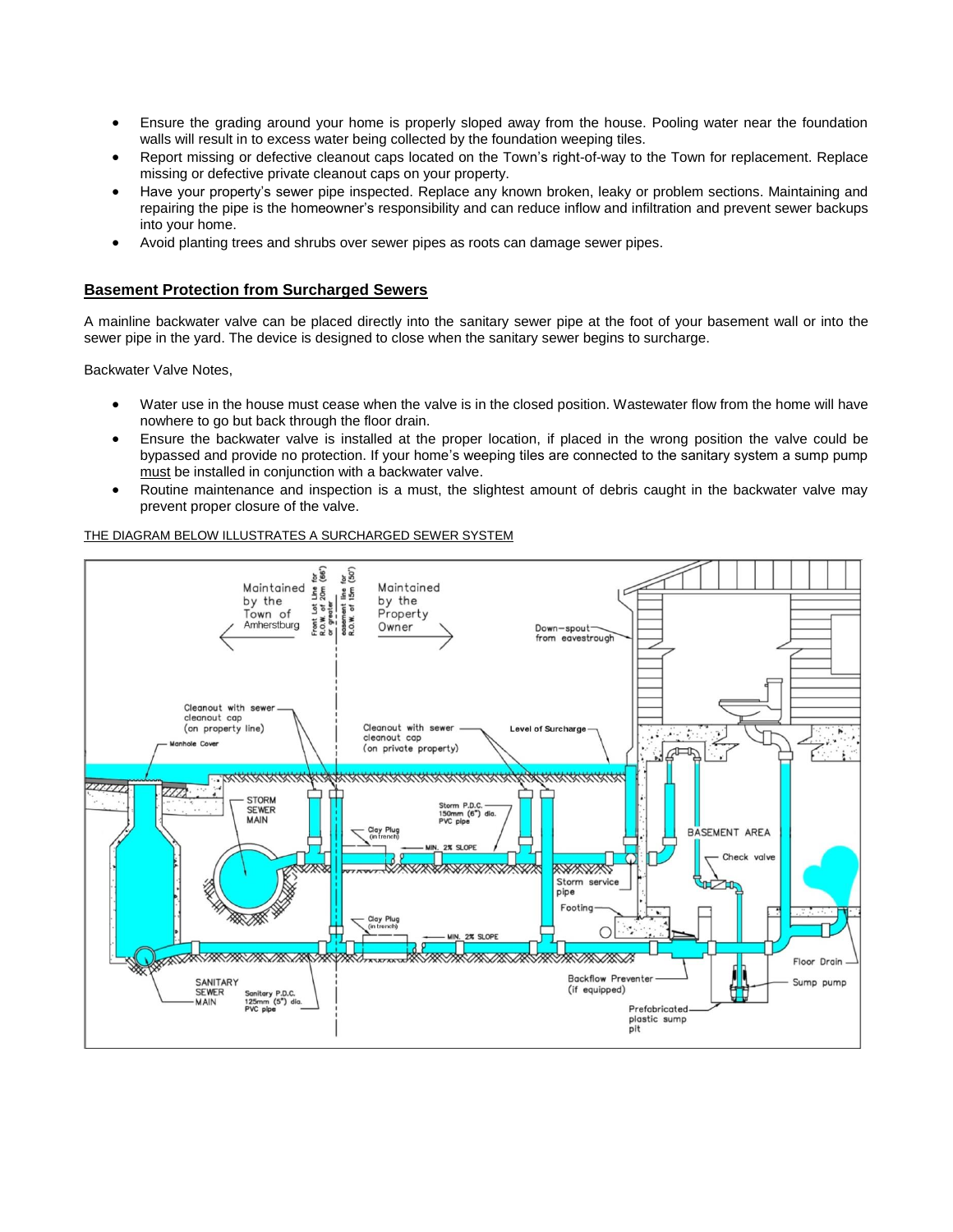- Ensure the grading around your home is properly sloped away from the house. Pooling water near the foundation walls will result in to excess water being collected by the foundation weeping tiles.
- Report missing or defective cleanout caps located on the Town's right-of-way to the Town for replacement. Replace missing or defective private cleanout caps on your property.
- Have your property's sewer pipe inspected. Replace any known broken, leaky or problem sections. Maintaining and repairing the pipe is the homeowner's responsibility and can reduce inflow and infiltration and prevent sewer backups into your home.
- Avoid planting trees and shrubs over sewer pipes as roots can damage sewer pipes.

# **Basement Protection from Surcharged Sewers**

A mainline backwater valve can be placed directly into the sanitary sewer pipe at the foot of your basement wall or into the sewer pipe in the yard. The device is designed to close when the sanitary sewer begins to surcharge.

Backwater Valve Notes,

- Water use in the house must cease when the valve is in the closed position. Wastewater flow from the home will have nowhere to go but back through the floor drain.
- Ensure the backwater valve is installed at the proper location, if placed in the wrong position the valve could be bypassed and provide no protection. If your home's weeping tiles are connected to the sanitary system a sump pump must be installed in conjunction with a backwater valve.
- Routine maintenance and inspection is a must, the slightest amount of debris caught in the backwater valve may prevent proper closure of the valve.

#### THE DIAGRAM BELOW ILLUSTRATES A SURCHARGED SEWER SYSTEM